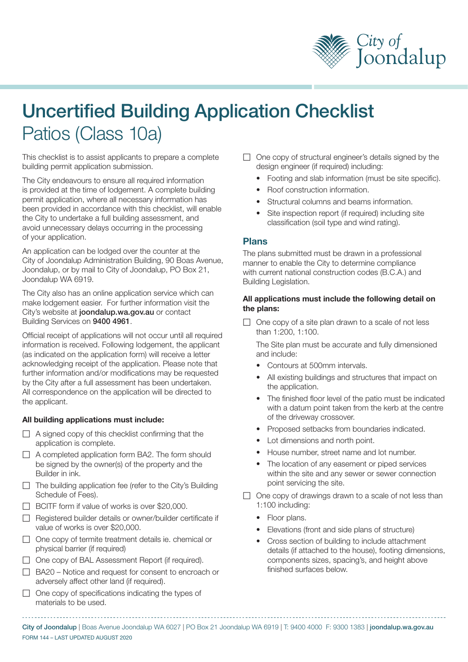

## Uncertified Building Application Checklist Patios (Class 10a)

This checklist is to assist applicants to prepare a complete building permit application submission.

The City endeavours to ensure all required information is provided at the time of lodgement. A complete building permit application, where all necessary information has been provided in accordance with this checklist, will enable the City to undertake a full building assessment, and avoid unnecessary delays occurring in the processing of your application.

An application can be lodged over the counter at the City of Joondalup Administration Building, 90 Boas Avenue, Joondalup, or by mail to City of Joondalup, PO Box 21, Joondalup WA 6919.

The City also has an online application service which can make lodgement easier. For further information visit the City's website at joondalup.wa.gov.au or contact Building Services on 9400 4961.

Official receipt of applications will not occur until all required information is received. Following lodgement, the applicant (as indicated on the application form) will receive a letter acknowledging receipt of the application. Please note that further information and/or modifications may be requested by the City after a full assessment has been undertaken. All correspondence on the application will be directed to the applicant.

## **All building applications must include:**

- $\Box$  A signed copy of this checklist confirming that the application is complete.
- $\Box$  A completed application form BA2. The form should be signed by the owner(s) of the property and the Builder in ink.
- $\Box$  The building application fee (refer to the City's Building Schedule of Fees).
- $\Box$  BCITF form if value of works is over \$20,000.
- □ Registered builder details or owner/builder certificate if value of works is over \$20,000.
- 㖀 One copy of termite treatment details ie. chemical or physical barrier (if required)
- 㖀 One copy of BAL Assessment Report (if required).
- $\Box$  BA20 Notice and request for consent to encroach or adversely affect other land (if required).
- $\Box$  One copy of specifications indicating the types of materials to be used.
- $\Box$  One copy of structural engineer's details signed by the design engineer (if required) including:
	- Footing and slab information (must be site specific).
	- Roof construction information.
	- Structural columns and beams information.
	- Site inspection report (if required) including site classification (soil type and wind rating).

## **Plans**

The plans submitted must be drawn in a professional manner to enable the City to determine compliance with current national construction codes (B.C.A.) and Building Legislation.

## **All applications must include the following detail on the plans:**

 $\Box$  One copy of a site plan drawn to a scale of not less than 1:200, 1:100.

The Site plan must be accurate and fully dimensioned and include:

- Contours at 500mm intervals.
- All existing buildings and structures that impact on the application.
- The finished floor level of the patio must be indicated with a datum point taken from the kerb at the centre of the driveway crossover.
- Proposed setbacks from boundaries indicated.
- Lot dimensions and north point.
- House number, street name and lot number.
- The location of any easement or piped services within the site and any sewer or sewer connection point servicing the site.
- $\Box$  One copy of drawings drawn to a scale of not less than 1:100 including:
	- Floor plans.
	- Elevations (front and side plans of structure)
	- Cross section of building to include attachment details (if attached to the house), footing dimensions, components sizes, spacing's, and height above finished surfaces below.

FORM 144 – LAST UPDATED AUGUST 2020 City of Joondalup | Boas Avenue Joondalup WA 6027 | PO Box 21 Joondalup WA 6919 | T: 9400 4000 F: 9300 1383 | joondalup.wa.gov.au